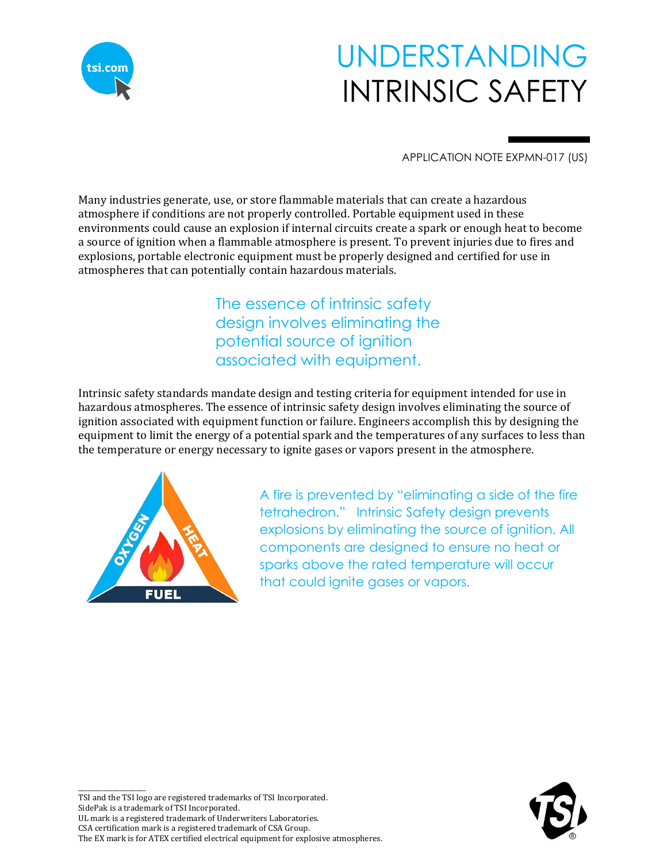

# UNDERSTANDING INTRINSIC SAFETY

APPLICATION NOTE EXPMN-017 (US)

Many industries generate, use, or store flammable materials that can create a hazardous atmosphere if conditions are not properly controlled. Portable equipment used in these environments could cause an explosion if internal circuits create a spark or enough heat to become a source of ignition when a flammable atmosphere is present. To prevent injuries due to fires and explosions, portable electronic equipment must be properly designed and certified for use in atmospheres that can potentially contain hazardous materials.

> The essence of intrinsic safety design involves eliminating the potential source of ignition associated with equipment.

Intrinsic safety standards mandate design and testing criteria for equipment intended for use in hazardous atmospheres. The essence of intrinsic safety design involves eliminating the source of ignition associated with equipment function or failure. Engineers accomplish this by designing the equipment to limit the energy of a potential spark and the temperatures of any surfaces to less than the temperature or energy necessary to ignite gases or vapors present in the atmosphere.



\_\_\_\_\_\_\_\_\_\_\_\_\_\_\_\_\_\_\_\_\_

A fire is prevented by "eliminating a side of the fire tetrahedron." Intrinsic Safety design prevents explosions by eliminating the source of ignition. All components are designed to ensure no heat or sparks above the rated temperature will occur that could ignite gases or vapors.

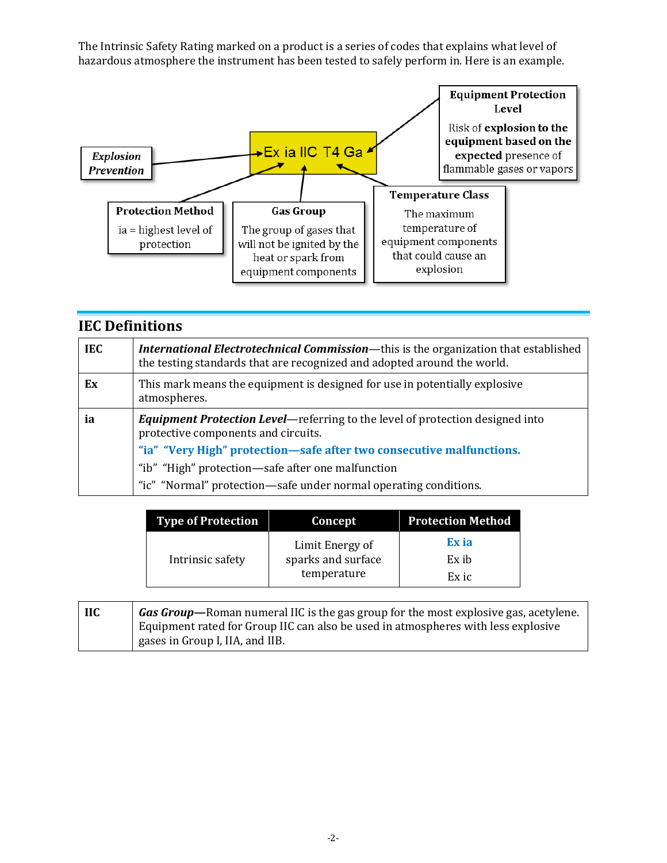The Intrinsic Safety Rating marked on a product is a series of codes that explains what level of hazardous atmosphere the instrument has been tested to safely perform in. Here is an example.



| <b>IEC Definitions</b> |                                                                                                                                                                                                                                                                                                                               |  |  |
|------------------------|-------------------------------------------------------------------------------------------------------------------------------------------------------------------------------------------------------------------------------------------------------------------------------------------------------------------------------|--|--|
| <b>IEC</b>             | <b>International Electrotechnical Commission—this is the organization that established</b><br>the testing standards that are recognized and adopted around the world.                                                                                                                                                         |  |  |
| Ex                     | This mark means the equipment is designed for use in potentially explosive<br>atmospheres.                                                                                                                                                                                                                                    |  |  |
| ia                     | <b>Equipment Protection Level—</b> referring to the level of protection designed into<br>protective components and circuits.<br>"ia" "Very High" protection-safe after two consecutive malfunctions.<br>"ib" "High" protection—safe after one malfunction<br>"ic" "Normal" protection—safe under normal operating conditions. |  |  |

| <b>Type of Protection</b> | Concept                                              | <b>Protection Method</b> |
|---------------------------|------------------------------------------------------|--------------------------|
|                           | Limit Energy of<br>sparks and surface<br>temperature | Ex ia                    |
| Intrinsic safety          |                                                      | Ex ib                    |
|                           |                                                      | Ex ic                    |

| <b>IIC</b> | <b><i>Gas Group</i>—</b> Roman numeral IIC is the gas group for the most explosive gas, acetylene. |  |  |  |
|------------|----------------------------------------------------------------------------------------------------|--|--|--|
|            | Equipment rated for Group IIC can also be used in atmospheres with less explosive                  |  |  |  |
|            | gases in Group I, IIA, and IIB.                                                                    |  |  |  |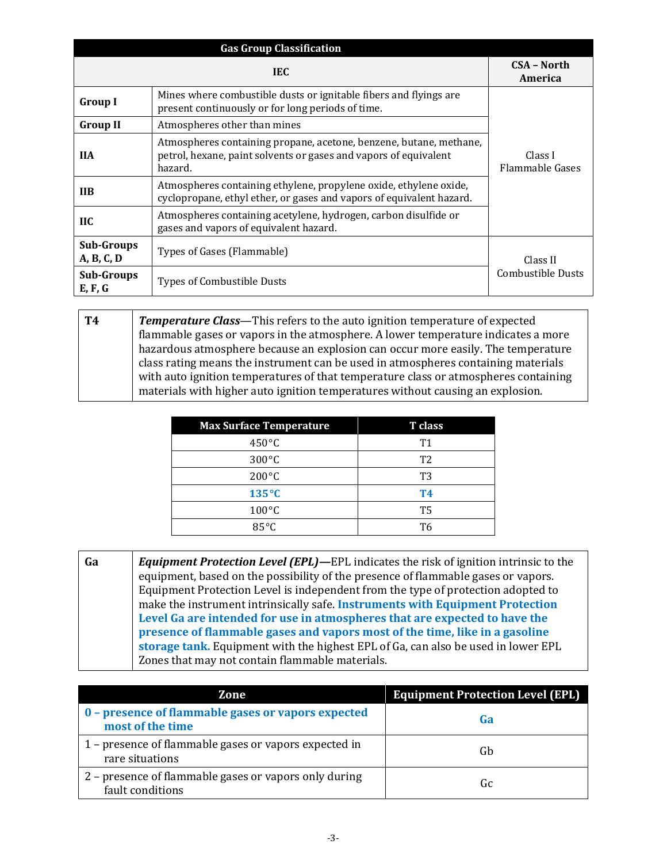| <b>Gas Group Classification</b> |                                                                                                                                                   |                                   |  |  |
|---------------------------------|---------------------------------------------------------------------------------------------------------------------------------------------------|-----------------------------------|--|--|
|                                 | <b>CSA - North</b><br>America                                                                                                                     |                                   |  |  |
| <b>Group I</b>                  | Mines where combustible dusts or ignitable fibers and flyings are<br>present continuously or for long periods of time.                            |                                   |  |  |
| <b>Group II</b>                 | Atmospheres other than mines                                                                                                                      | Class I<br><b>Flammable Gases</b> |  |  |
| <b>IIA</b>                      | Atmospheres containing propane, acetone, benzene, butane, methane,<br>petrol, hexane, paint solvents or gases and vapors of equivalent<br>hazard. |                                   |  |  |
| <b>IIB</b>                      | Atmospheres containing ethylene, propylene oxide, ethylene oxide,<br>cyclopropane, ethyl ether, or gases and vapors of equivalent hazard.         |                                   |  |  |
| $\overline{\mathbf{H}}$         | Atmospheres containing acetylene, hydrogen, carbon disulfide or<br>gases and vapors of equivalent hazard.                                         |                                   |  |  |
| <b>Sub-Groups</b><br>A, B, C, D | Types of Gases (Flammable)                                                                                                                        | Class II                          |  |  |
| <b>Sub-Groups</b><br>E, F, G    | Types of Combustible Dusts                                                                                                                        | Combustible Dusts                 |  |  |

**T4** *Temperature Class*—This refers to the auto ignition temperature of expected flammable gases or vapors in the atmosphere. A lower temperature indicates a more hazardous atmosphere because an explosion can occur more easily. The temperature class rating means the instrument can be used in atmospheres containing materials with auto ignition temperatures of that temperature class or atmospheres containing materials with higher auto ignition temperatures without causing an explosion.

| <b>Max Surface Temperature</b> | T class        |
|--------------------------------|----------------|
| $450^{\circ}$ C                | T1             |
| $300^{\circ}$ C                | T <sub>2</sub> |
| $200^{\circ}$ C                | T3             |
| $135^{\circ}C$                 | <b>T4</b>      |
| $100^{\circ}$ C                | Т5             |
| $85^{\circ}$ C                 | Т6             |

**Ga** *Equipment Protection Level (EPL)***—**EPL indicates the risk of ignition intrinsic to the equipment, based on the possibility of the presence of flammable gases or vapors. Equipment Protection Level is independent from the type of protection adopted to make the instrument intrinsically safe. **Instruments with Equipment Protection Level Ga are intended for use in atmospheres that are expected to have the presence of flammable gases and vapors most of the time, like in a gasoline storage tank.** Equipment with the highest EPL of Ga, can also be used in lower EPL Zones that may not contain flammable materials.

| Zone                                                                      | <b>Equipment Protection Level (EPL)</b> |
|---------------------------------------------------------------------------|-----------------------------------------|
| 0 - presence of flammable gases or vapors expected<br>most of the time    | Ga                                      |
| 1 – presence of flammable gases or vapors expected in<br>rare situations  | Gb                                      |
| 2 – presence of flammable gases or vapors only during<br>fault conditions | Gc                                      |